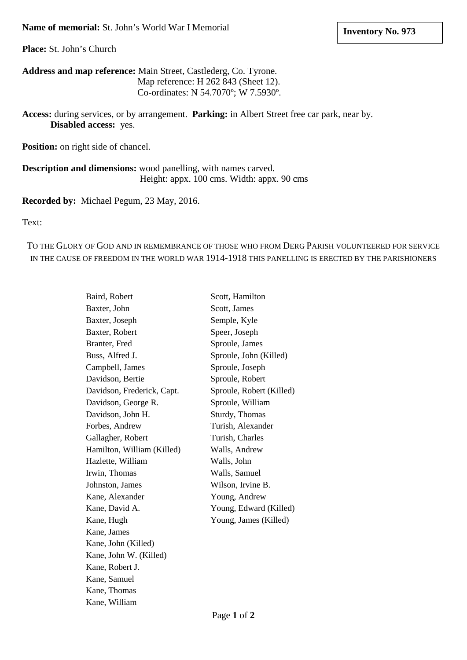**Place:** St. John's Church

**Address and map reference:** Main Street, Castlederg, Co. Tyrone. Map reference: H 262 843 (Sheet 12). Co-ordinates: N 54.7070º; W 7.5930º.

**Access:** during services, or by arrangement. **Parking:** in Albert Street free car park, near by. **Disabled access:** yes.

**Position:** on right side of chancel.

**Description and dimensions:** wood panelling, with names carved. Height: appx. 100 cms. Width: appx. 90 cms

## **Recorded by:** Michael Pegum, 23 May, 2016.

Text:

TO THE GLORY OF GOD AND IN REMEMBRANCE OF THOSE WHO FROM DERG PARISH VOLUNTEERED FOR SERVICE IN THE CAUSE OF FREEDOM IN THE WORLD WAR 1914-1918 THIS PANELLING IS ERECTED BY THE PARISHIONERS

| Baird, Robert              | Scott, Hamilton          |
|----------------------------|--------------------------|
| Baxter, John               | Scott, James             |
| Baxter, Joseph             | Semple, Kyle             |
| Baxter, Robert             | Speer, Joseph            |
| Branter, Fred              | Sproule, James           |
| Buss, Alfred J.            | Sproule, John (Killed)   |
| Campbell, James            | Sproule, Joseph          |
| Davidson, Bertie           | Sproule, Robert          |
| Davidson, Frederick, Capt. | Sproule, Robert (Killed) |
| Davidson, George R.        | Sproule, William         |
| Davidson, John H.          | Sturdy, Thomas           |
| Forbes, Andrew             | Turish, Alexander        |
| Gallagher, Robert          | Turish, Charles          |
| Hamilton, William (Killed) | Walls, Andrew            |
| Hazlette, William          | Walls, John              |
| Irwin, Thomas              | Walls, Samuel            |
| Johnston, James            | Wilson, Irvine B.        |
| Kane, Alexander            | Young, Andrew            |
| Kane, David A.             | Young, Edward (Killed)   |
| Kane, Hugh                 | Young, James (Killed)    |
| Kane, James                |                          |
| Kane, John (Killed)        |                          |
| Kane, John W. (Killed)     |                          |
| Kane, Robert J.            |                          |
| Kane, Samuel               |                          |
| Kane, Thomas               |                          |
| Kane, William              |                          |